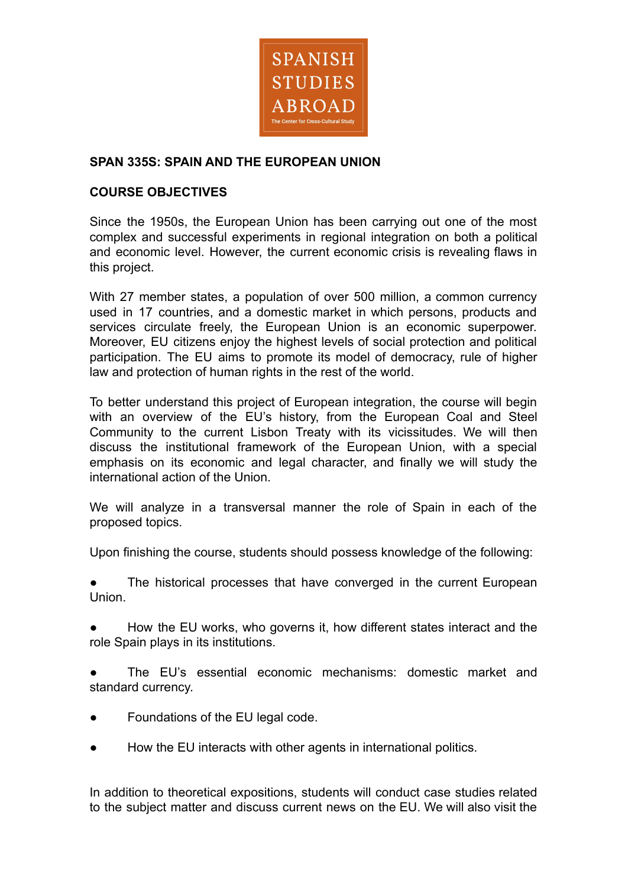

# **SPAN 335S: SPAIN AND THE EUROPEAN UNION**

# **COURSE OBJECTIVES**

Since the 1950s, the European Union has been carrying out one of the most complex and successful experiments in regional integration on both a political and economic level. However, the current economic crisis is revealing flaws in this project.

With 27 member states, a population of over 500 million, a common currency used in 17 countries, and a domestic market in which persons, products and services circulate freely, the European Union is an economic superpower. Moreover, EU citizens enjoy the highest levels of social protection and political participation. The EU aims to promote its model of democracy, rule of higher law and protection of human rights in the rest of the world.

To better understand this project of European integration, the course will begin with an overview of the EU's history, from the European Coal and Steel Community to the current Lisbon Treaty with its vicissitudes. We will then discuss the institutional framework of the European Union, with a special emphasis on its economic and legal character, and finally we will study the international action of the Union.

We will analyze in a transversal manner the role of Spain in each of the proposed topics.

Upon finishing the course, students should possess knowledge of the following:

The historical processes that have converged in the current European Union.

How the EU works, who governs it, how different states interact and the role Spain plays in its institutions.

The EU's essential economic mechanisms: domestic market and standard currency.

- Foundations of the EU legal code.
- How the EU interacts with other agents in international politics.

In addition to theoretical expositions, students will conduct case studies related to the subject matter and discuss current news on the EU. We will also visit the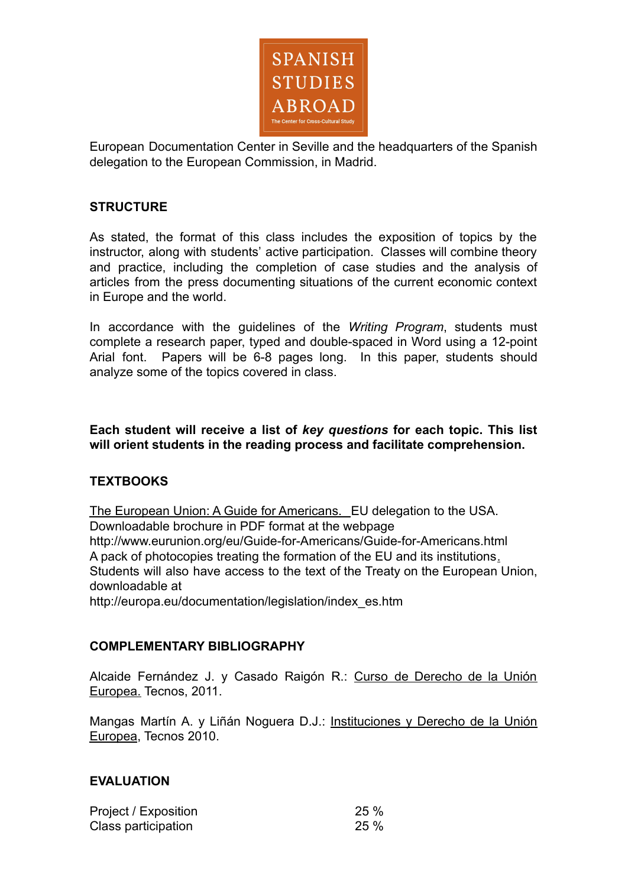

European Documentation Center in Seville and the headquarters of the Spanish delegation to the European Commission, in Madrid.

# **STRUCTURE**

As stated, the format of this class includes the exposition of topics by the instructor, along with students' active participation. Classes will combine theory and practice, including the completion of case studies and the analysis of articles from the press documenting situations of the current economic context in Europe and the world.

In accordance with the guidelines of the *Writing Program*, students must complete a research paper, typed and double-spaced in Word using a 12-point Arial font. Papers will be 6-8 pages long. In this paper, students should analyze some of the topics covered in class.

**Each student will receive a list of** *key questions* **for each topic. This list will orient students in the reading process and facilitate comprehension.**

# **TEXTBOOKS**

The European Union: A Guide for Americans. EU delegation to the USA. Downloadable brochure in PDF format at the webpage http://www.eurunion.org/eu/Guide-for-Americans/Guide-for-Americans.html A pack of photocopies treating the formation of the EU and its institutions. Students will also have access to the text of the Treaty on the European Union, downloadable at

http://europa.eu/documentation/legislation/index\_es.htm

## **COMPLEMENTARY BIBLIOGRAPHY**

Alcaide Fernández J. y Casado Raigón R.: Curso de Derecho de la Unión Europea. Tecnos, 2011.

Mangas Martín A. y Liñán Noguera D.J.: Instituciones y Derecho de la Unión Europea, Tecnos 2010.

## **EVALUATION**

| Project / Exposition | 25% |
|----------------------|-----|
| Class participation  | 25% |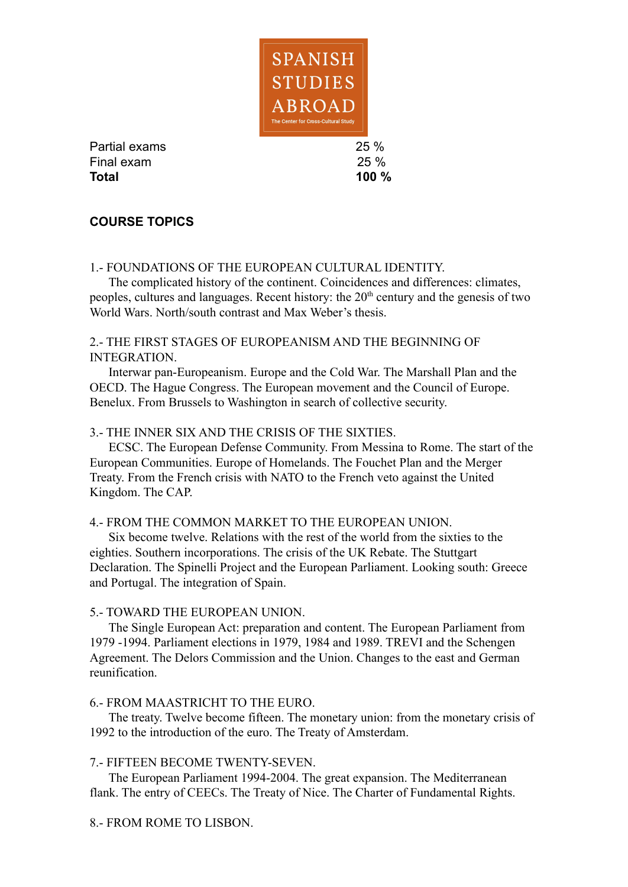

Partial exams 25 % Final exam 25 % **Total 100 %**

# **COURSE TOPICS**

## 1.- FOUNDATIONS OF THE EUROPEAN CULTURAL IDENTITY.

The complicated history of the continent. Coincidences and differences: climates, peoples, cultures and languages. Recent history: the  $20<sup>th</sup>$  century and the genesis of two World Wars. North/south contrast and Max Weber's thesis.

## 2.- THE FIRST STAGES OF EUROPEANISM AND THE BEGINNING OF INTEGRATION.

Interwar pan-Europeanism. Europe and the Cold War. The Marshall Plan and the OECD. The Hague Congress. The European movement and the Council of Europe. Benelux. From Brussels to Washington in search of collective security.

## 3.- THE INNER SIX AND THE CRISIS OF THE SIXTIES.

ECSC. The European Defense Community. From Messina to Rome. The start of the European Communities. Europe of Homelands. The Fouchet Plan and the Merger Treaty. From the French crisis with NATO to the French veto against the United Kingdom. The CAP.

### 4.- FROM THE COMMON MARKET TO THE EUROPEAN UNION.

Six become twelve. Relations with the rest of the world from the sixties to the eighties. Southern incorporations. The crisis of the UK Rebate. The Stuttgart Declaration. The Spinelli Project and the European Parliament. Looking south: Greece and Portugal. The integration of Spain.

### 5.- TOWARD THE EUROPEAN UNION.

The Single European Act: preparation and content. The European Parliament from 1979 -1994. Parliament elections in 1979, 1984 and 1989. TREVI and the Schengen Agreement. The Delors Commission and the Union. Changes to the east and German reunification.

### 6.- FROM MAASTRICHT TO THE EURO.

The treaty. Twelve become fifteen. The monetary union: from the monetary crisis of 1992 to the introduction of the euro. The Treaty of Amsterdam.

### 7.- FIFTEEN BECOME TWENTY-SEVEN.

The European Parliament 1994-2004. The great expansion. The Mediterranean flank. The entry of CEECs. The Treaty of Nice. The Charter of Fundamental Rights.

### 8.- FROM ROME TO LISBON.